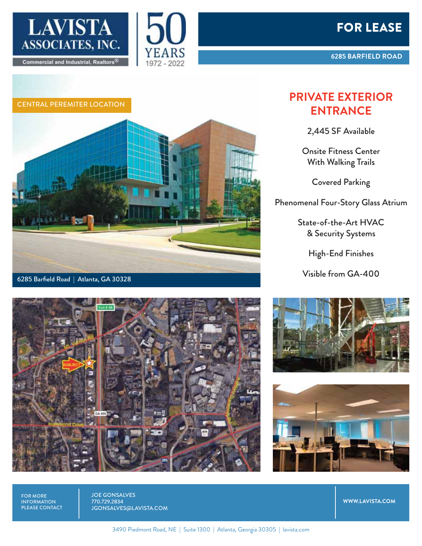



Commercial and Industrial, Realtors®

**LAVISTA** 

ASSOCIATES, INC.

## CENTRAL PEREMITER LOCATION



1972 - 2022



## **PRIVATE EXTERIOR ENTRANCE**

2,445 SF Available

Onsite Fitness Center With Walking Trails

Covered Parking

Phenomenal Four-Story Glass Atrium

State-of-the-Art HVAC & Security Systems

High-End Finishes

Visible from GA-400





FOR MORE INFORMATION PLEASE CONTACT JOE GONSALVES 770.729.2834 JGONSALVES@LAVISTA.COM

**WWW.LAVISTA.COM**